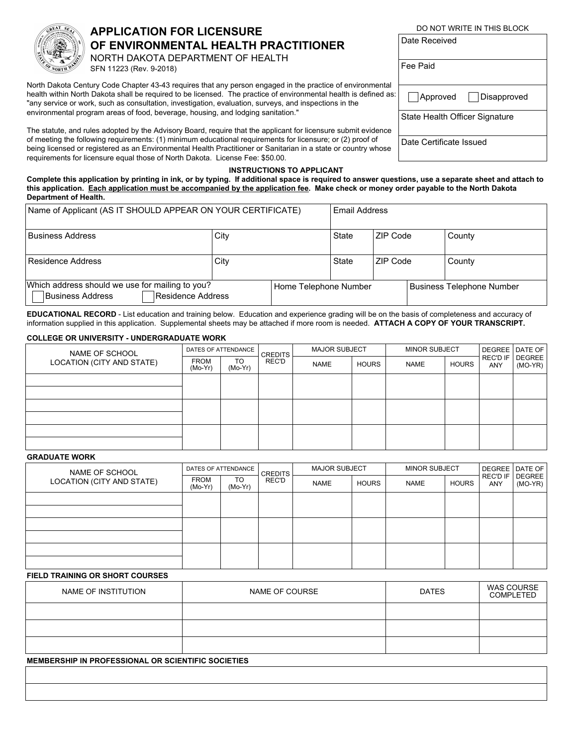

# **APPLICATION FOR LICENSURE OF ENVIRONMENTAL HEALTH PRACTITIONER**

NORTH DAKOTA DEPARTMENT OF HEALTH SFN 11223 (Rev. 9-2018)

North Dakota Century Code Chapter 43-43 requires that any person engaged in the practice of environmental health within North Dakota shall be required to be licensed. The practice of environmental health is defined as: "any service or work, such as consultation, investigation, evaluation, surveys, and inspections in the environmental program areas of food, beverage, housing, and lodging sanitation."

The statute, and rules adopted by the Advisory Board, require that the applicant for licensure submit evidence of meeting the following requirements: (1) minimum educational requirements for licensure; or (2) proof of being licensed or registered as an Environmental Health Practitioner or Sanitarian in a state or country whose requirements for licensure equal those of North Dakota. License Fee: \$50.00.

| Date Received                         |                        |
|---------------------------------------|------------------------|
| Fee Paid                              |                        |
|                                       | Approved   Disapproved |
| <b>State Health Officer Signature</b> |                        |
| Date Certificate Issued               |                        |

DO NOT WRITE IN THIS BLOCK

### **INSTRUCTIONS TO APPLICANT**

**Complete this application by printing in ink, or by typing. If additional space is required to answer questions, use a separate sheet and attach to this application. Each application must be accompanied by the application fee. Make check or money order payable to the North Dakota Department of Health.**

| Name of Applicant (AS IT SHOULD APPEAR ON YOUR CERTIFICATE)                              |      |  | <b>Email Address</b>  |          |  |                           |  |
|------------------------------------------------------------------------------------------|------|--|-----------------------|----------|--|---------------------------|--|
| <b>Business Address</b>                                                                  | City |  | State                 | ZIP Code |  | County                    |  |
| Residence Address                                                                        | City |  | State                 | ZIP Code |  | County                    |  |
| Which address should we use for mailing to you?<br>Residence Address<br>Business Address |      |  | Home Telephone Number |          |  | Business Telephone Number |  |

**EDUCATIONAL RECORD** - List education and training below. Education and experience grading will be on the basis of completeness and accuracy of information supplied in this application. Supplemental sheets may be attached if more room is needed. **ATTACH A COPY OF YOUR TRANSCRIPT.**

### **COLLEGE OR UNIVERSITY - UNDERGRADUATE WORK**

| NAME OF SCHOOL            | DATES OF ATTENDANCE      |               | <b>CREDITS</b> | <b>MAJOR SUBJECT</b> |              | <b>MINOR SUBJECT</b> |              |                                 | DEGREE   DATE OF |
|---------------------------|--------------------------|---------------|----------------|----------------------|--------------|----------------------|--------------|---------------------------------|------------------|
| LOCATION (CITY AND STATE) | <b>FROM</b><br>$(Mo-Yr)$ | TO<br>(Mo-Yr) | REC'D          | <b>NAME</b>          | <b>HOURS</b> | <b>NAME</b>          | <b>HOURS</b> | REC'D IF   DEGREE<br><b>ANY</b> | $(MO-YP)$        |
|                           |                          |               |                |                      |              |                      |              |                                 |                  |
|                           |                          |               |                |                      |              |                      |              |                                 |                  |
|                           |                          |               |                |                      |              |                      |              |                                 |                  |
|                           |                          |               |                |                      |              |                      |              |                                 |                  |
|                           |                          |               |                |                      |              |                      |              |                                 |                  |
|                           |                          |               |                |                      |              |                      |              |                                 |                  |

## **GRADUATE WORK**

| NAME OF SCHOOL            | DATES OF ATTENDANCE      |                 | <b>CREDITS</b> | <b>MAJOR SUBJECT</b> |              | <b>MINOR SUBJECT</b> |       |     | DEGREE   DATE OF             |
|---------------------------|--------------------------|-----------------|----------------|----------------------|--------------|----------------------|-------|-----|------------------------------|
| LOCATION (CITY AND STATE) | <b>FROM</b><br>$(Mo-Yr)$ | TO<br>$(Mo-Yr)$ | REC'D          | <b>NAME</b>          | <b>HOURS</b> | NAME                 | HOURS | ANY | REC'D IF   DEGREE<br>(MO-YR) |
|                           |                          |                 |                |                      |              |                      |       |     |                              |
|                           |                          |                 |                |                      |              |                      |       |     |                              |
|                           |                          |                 |                |                      |              |                      |       |     |                              |
|                           |                          |                 |                |                      |              |                      |       |     |                              |
|                           |                          |                 |                |                      |              |                      |       |     |                              |
|                           |                          |                 |                |                      |              |                      |       |     |                              |

### **FIELD TRAINING OR SHORT COURSES**

| NAME OF INSTITUTION | NAME OF COURSE | <b>DATES</b> | <b>WAS COURSE</b><br><b>COMPLETED</b> |
|---------------------|----------------|--------------|---------------------------------------|
|                     |                |              |                                       |
|                     |                |              |                                       |
|                     |                |              |                                       |

#### **MEMBERSHIP IN PROFESSIONAL OR SCIENTIFIC SOCIETIES**